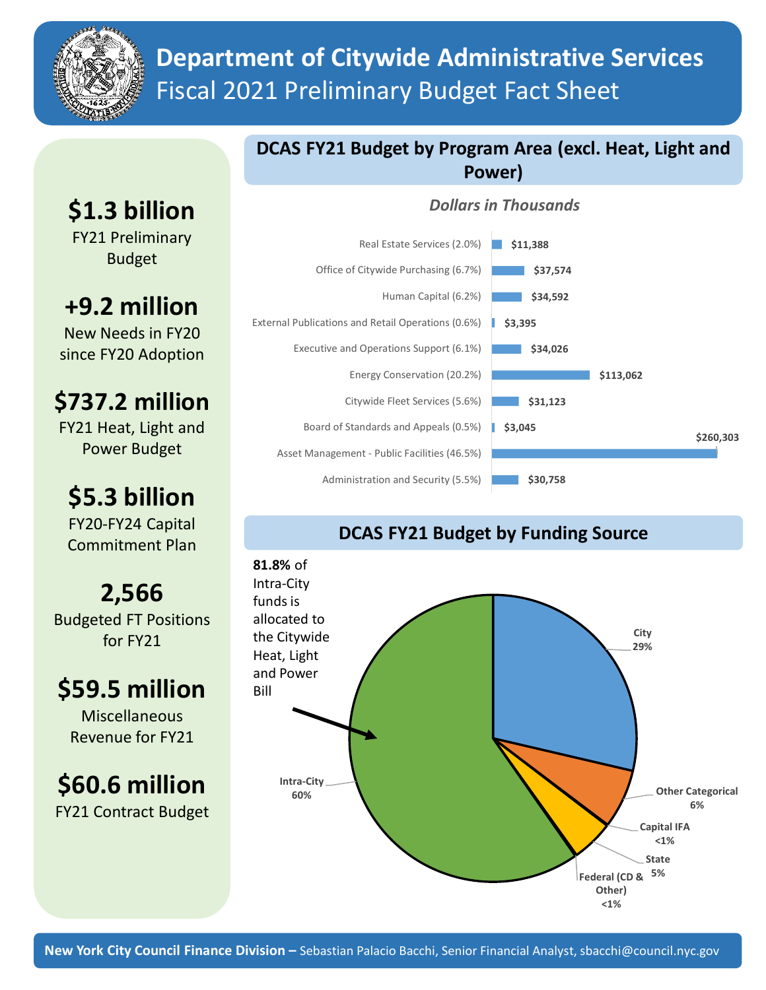

# **Department of Citywide Administrative Services** Fiscal 2021 Preliminary Budget Fact Sheet

# **\$1.3 billion**

FY21 Preliminary Budget

# **+9.2 million**

New Needs in FY20 since FY20 Adoption

### **\$737.2 million**

FY21 Heat, Light and Power Budget

# **\$5.3 billion**

FY20-FY24 Capital Commitment Plan

**2,566** Budgeted FT Positions for FY21

## **\$59.5 million**

**Miscellaneous** Revenue for FY21

### **\$60.6 million** FY21 Contract Budget

### **DCAS FY21 Budget by Program Area (excl. Heat, Light and Power)**

#### *Dollars in Thousands*



### **DCAS FY21 Budget by Funding Source**